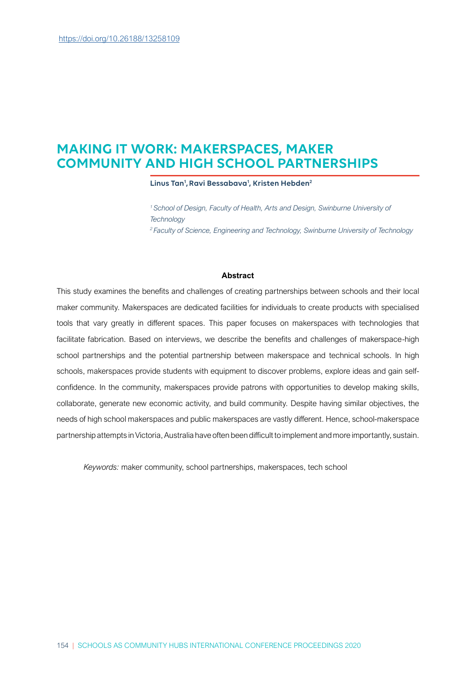## MAKING IT WORK: MAKERSPACES, MAKER COMMUNITY AND HIGH SCHOOL PARTNERSHIPS

Linus Tan<sup>1</sup>, Ravi Bessabava<sup>1</sup>, Kristen Hebden<sup>2</sup>

<sup>1</sup> School of Design, Faculty of Health, Arts and Design, Swinburne University of **Technology** <sup>2</sup>Faculty of Science, Engineering and Technology, Swinburne University of Technology

### Abstract

This study examines the benefits and challenges of creating partnerships between schools and their local maker community. Makerspaces are dedicated facilities for individuals to create products with specialised tools that vary greatly in different spaces. This paper focuses on makerspaces with technologies that facilitate fabrication. Based on interviews, we describe the benefits and challenges of makerspace-high school partnerships and the potential partnership between makerspace and technical schools. In high schools, makerspaces provide students with equipment to discover problems, explore ideas and gain selfconfidence. In the community, makerspaces provide patrons with opportunities to develop making skills, collaborate, generate new economic activity, and build community. Despite having similar objectives, the needs of high school makerspaces and public makerspaces are vastly different. Hence, school-makerspace partnership attempts in Victoria, Australia have often been difficult to implement and more importantly, sustain.

Keywords: maker community, school partnerships, makerspaces, tech school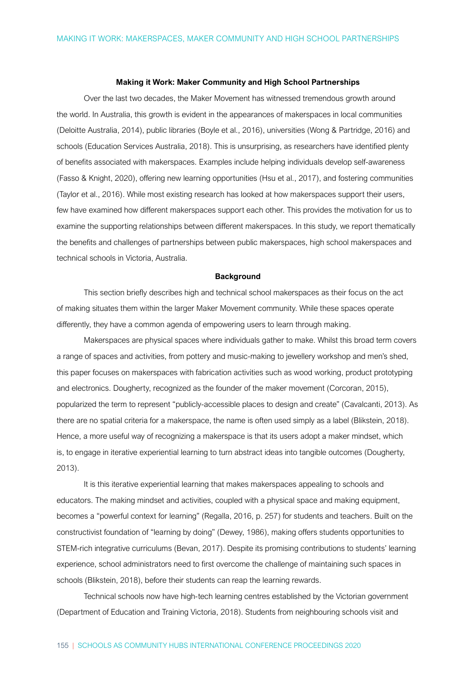### Making it Work: Maker Community and High School Partnerships

Over the last two decades, the Maker Movement has witnessed tremendous growth around the world. In Australia, this growth is evident in the appearances of makerspaces in local communities (Deloitte Australia, 2014), public libraries (Boyle et al., 2016), universities (Wong & Partridge, 2016) and schools (Education Services Australia, 2018). This is unsurprising, as researchers have identified plenty of benefits associated with makerspaces. Examples include helping individuals develop self-awareness (Fasso & Knight, 2020), offering new learning opportunities (Hsu et al., 2017), and fostering communities (Taylor et al., 2016). While most existing research has looked at how makerspaces support their users, few have examined how different makerspaces support each other. This provides the motivation for us to examine the supporting relationships between different makerspaces. In this study, we report thematically the benefits and challenges of partnerships between public makerspaces, high school makerspaces and technical schools in Victoria, Australia.

### **Background**

This section briefly describes high and technical school makerspaces as their focus on the act of making situates them within the larger Maker Movement community. While these spaces operate differently, they have a common agenda of empowering users to learn through making.

Makerspaces are physical spaces where individuals gather to make. Whilst this broad term covers a range of spaces and activities, from pottery and music-making to jewellery workshop and men's shed, this paper focuses on makerspaces with fabrication activities such as wood working, product prototyping and electronics. Dougherty, recognized as the founder of the maker movement (Corcoran, 2015), popularized the term to represent "publicly-accessible places to design and create" (Cavalcanti, 2013). As there are no spatial criteria for a makerspace, the name is often used simply as a label (Blikstein, 2018). Hence, a more useful way of recognizing a makerspace is that its users adopt a maker mindset, which is, to engage in iterative experiential learning to turn abstract ideas into tangible outcomes (Dougherty, 2013).

It is this iterative experiential learning that makes makerspaces appealing to schools and educators. The making mindset and activities, coupled with a physical space and making equipment, becomes a "powerful context for learning" (Regalla, 2016, p. 257) for students and teachers. Built on the constructivist foundation of "learning by doing" (Dewey, 1986), making offers students opportunities to STEM-rich integrative curriculums (Bevan, 2017). Despite its promising contributions to students' learning experience, school administrators need to first overcome the challenge of maintaining such spaces in schools (Blikstein, 2018), before their students can reap the learning rewards.

Technical schools now have high-tech learning centres established by the Victorian government (Department of Education and Training Victoria, 2018). Students from neighbouring schools visit and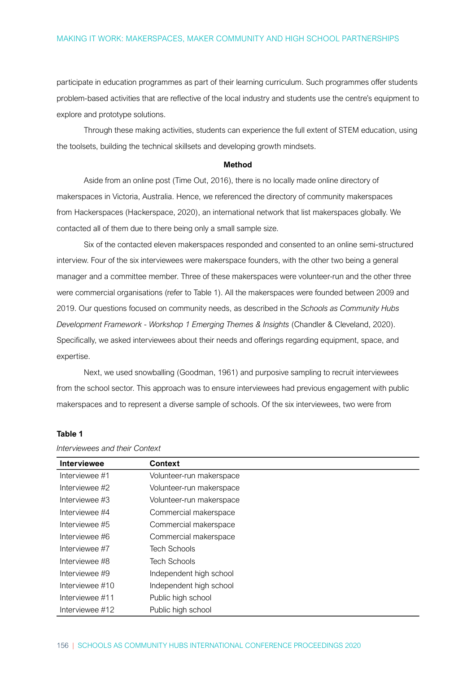participate in education programmes as part of their learning curriculum. Such programmes offer students problem-based activities that are reflective of the local industry and students use the centre's equipment to explore and prototype solutions.

Through these making activities, students can experience the full extent of STEM education, using the toolsets, building the technical skillsets and developing growth mindsets.

### Method

Aside from an online post (Time Out, 2016), there is no locally made online directory of makerspaces in Victoria, Australia. Hence, we referenced the directory of community makerspaces from Hackerspaces (Hackerspace, 2020), an international network that list makerspaces globally. We contacted all of them due to there being only a small sample size.

Six of the contacted eleven makerspaces responded and consented to an online semi-structured interview. Four of the six interviewees were makerspace founders, with the other two being a general manager and a committee member. Three of these makerspaces were volunteer-run and the other three were commercial organisations (refer to Table 1). All the makerspaces were founded between 2009 and 2019. Our questions focused on community needs, as described in the Schools as Community Hubs Development Framework - Workshop 1 Emerging Themes & Insights (Chandler & Cleveland, 2020). Specifically, we asked interviewees about their needs and offerings regarding equipment, space, and expertise.

Next, we used snowballing (Goodman, 1961) and purposive sampling to recruit interviewees from the school sector. This approach was to ensure interviewees had previous engagement with public makerspaces and to represent a diverse sample of schools. Of the six interviewees, two were from

| <b>Interviewee</b> | <b>Context</b>           |
|--------------------|--------------------------|
| Interviewee #1     | Volunteer-run makerspace |
| Interviewee #2     | Volunteer-run makerspace |
| Interviewee #3     | Volunteer-run makerspace |
| Interviewee #4     | Commercial makerspace    |
| Interviewee #5     | Commercial makerspace    |
| Interviewee #6     | Commercial makerspace    |
| Interviewee #7     | <b>Tech Schools</b>      |
| Interviewee #8     | <b>Tech Schools</b>      |
| Interviewee #9     | Independent high school  |
| Interviewee #10    | Independent high school  |
| Interviewee #11    | Public high school       |
| Interviewee #12    | Public high school       |

### Table 1

Interviewees and their Context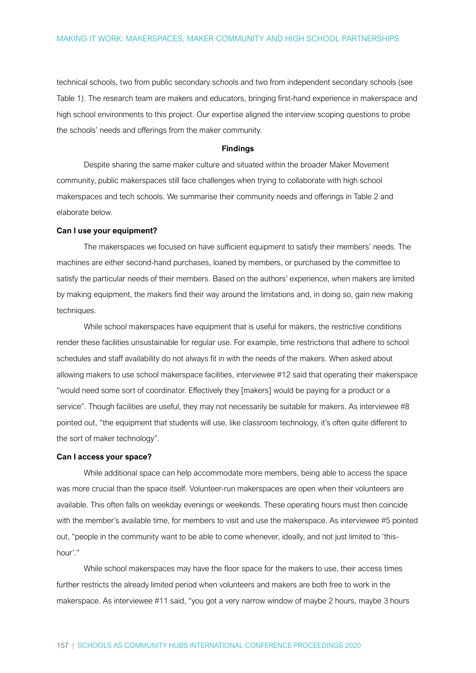technical schools, two from public secondary schools and two from independent secondary schools (see Table 1). The research team are makers and educators, bringing first-hand experience in makerspace and high school environments to this project. Our expertise aligned the interview scoping questions to probe the schools' needs and offerings from the maker community.

### Findings

Despite sharing the same maker culture and situated within the broader Maker Movement community, public makerspaces still face challenges when trying to collaborate with high school makerspaces and tech schools. We summarise their community needs and offerings in Table 2 and elaborate below.

### Can I use your equipment?

The makerspaces we focused on have sufficient equipment to satisfy their members' needs. The machines are either second-hand purchases, loaned by members, or purchased by the committee to satisfy the particular needs of their members. Based on the authors' experience, when makers are limited by making equipment, the makers find their way around the limitations and, in doing so, gain new making techniques.

While school makerspaces have equipment that is useful for makers, the restrictive conditions render these facilities unsustainable for regular use. For example, time restrictions that adhere to school schedules and staff availability do not always fit in with the needs of the makers. When asked about allowing makers to use school makerspace facilities, interviewee #12 said that operating their makerspace "would need some sort of coordinator. Effectively they [makers] would be paying for a product or a service". Though facilities are useful, they may not necessarily be suitable for makers. As interviewee #8 pointed out, "the equipment that students will use, like classroom technology, it's often quite different to the sort of maker technology".

### Can I access your space?

While additional space can help accommodate more members, being able to access the space was more crucial than the space itself. Volunteer-run makerspaces are open when their volunteers are available. This often falls on weekday evenings or weekends. These operating hours must then coincide with the member's available time, for members to visit and use the makerspace. As interviewee #5 pointed out, "people in the community want to be able to come whenever, ideally, and not just limited to 'thishour'."

While school makerspaces may have the floor space for the makers to use, their access times further restricts the already limited period when volunteers and makers are both free to work in the makerspace. As interviewee #11 said, "you got a very narrow window of maybe 2 hours, maybe 3 hours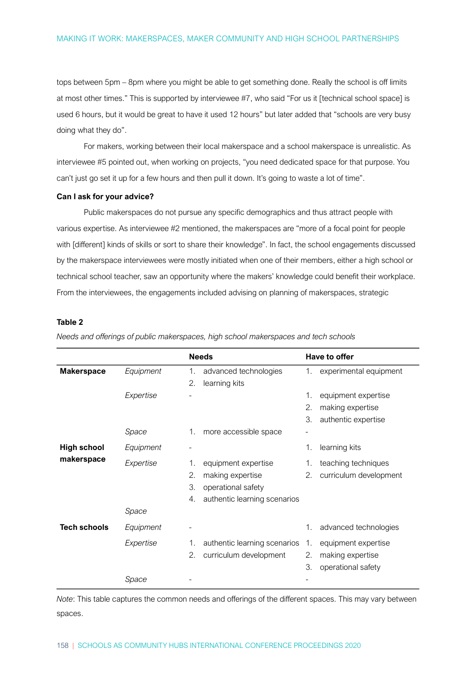tops between 5pm – 8pm where you might be able to get something done. Really the school is off limits at most other times." This is supported by interviewee #7, who said "For us it [technical school space] is used 6 hours, but it would be great to have it used 12 hours" but later added that "schools are very busy doing what they do".

For makers, working between their local makerspace and a school makerspace is unrealistic. As interviewee #5 pointed out, when working on projects, "you need dedicated space for that purpose. You can't just go set it up for a few hours and then pull it down. It's going to waste a lot of time".

### Can I ask for your advice?

Public makerspaces do not pursue any specific demographics and thus attract people with various expertise. As interviewee #2 mentioned, the makerspaces are "more of a focal point for people with [different] kinds of skills or sort to share their knowledge". In fact, the school engagements discussed by the makerspace interviewees were mostly initiated when one of their members, either a high school or technical school teacher, saw an opportunity where the makers' knowledge could benefit their workplace. From the interviewees, the engagements included advising on planning of makerspaces, strategic

### Table 2

|                                  |           | <b>Needs</b>                       | Have to offer |                        |
|----------------------------------|-----------|------------------------------------|---------------|------------------------|
| <b>Makerspace</b>                | Equipment | advanced technologies<br>1.        | 1.            | experimental equipment |
|                                  |           | 2.<br>learning kits                |               |                        |
|                                  | Expertise |                                    | 1.            | equipment expertise    |
|                                  |           |                                    | 2.            | making expertise       |
|                                  |           |                                    | 3.            | authentic expertise    |
|                                  | Space     | 1.<br>more accessible space        |               |                        |
| <b>High school</b><br>makerspace | Equipment |                                    | 1.            | learning kits          |
|                                  | Expertise | equipment expertise<br>1.          | 1.            | teaching techniques    |
|                                  |           | 2.<br>making expertise             | 2.            | curriculum development |
|                                  |           | 3.<br>operational safety           |               |                        |
|                                  |           | authentic learning scenarios<br>4. |               |                        |
|                                  | Space     |                                    |               |                        |
| <b>Tech schools</b>              | Equipment |                                    | 1.            | advanced technologies  |
|                                  | Expertise | authentic learning scenarios<br>1. | 1.            | equipment expertise    |
|                                  |           | 2.<br>curriculum development       | 2.            | making expertise       |
|                                  |           |                                    | 3.            | operational safety     |
|                                  | Space     |                                    |               |                        |

Needs and offerings of public makerspaces, high school makerspaces and tech schools

Note: This table captures the common needs and offerings of the different spaces. This may vary between spaces.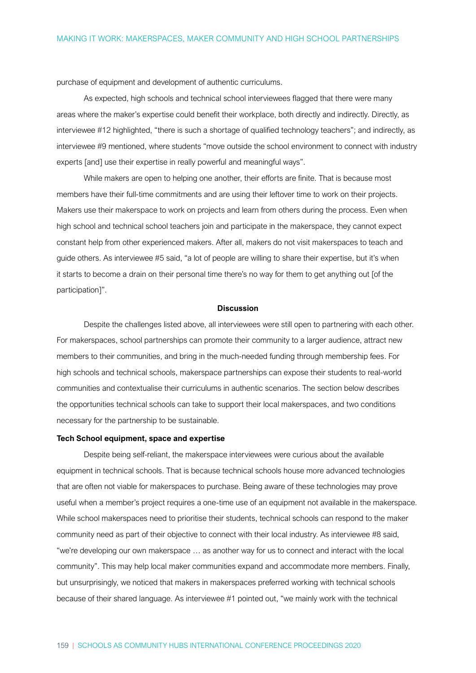purchase of equipment and development of authentic curriculums.

As expected, high schools and technical school interviewees flagged that there were many areas where the maker's expertise could benefit their workplace, both directly and indirectly. Directly, as interviewee #12 highlighted, "there is such a shortage of qualified technology teachers"; and indirectly, as interviewee #9 mentioned, where students "move outside the school environment to connect with industry experts [and] use their expertise in really powerful and meaningful ways".

While makers are open to helping one another, their efforts are finite. That is because most members have their full-time commitments and are using their leftover time to work on their projects. Makers use their makerspace to work on projects and learn from others during the process. Even when high school and technical school teachers join and participate in the makerspace, they cannot expect constant help from other experienced makers. After all, makers do not visit makerspaces to teach and guide others. As interviewee #5 said, "a lot of people are willing to share their expertise, but it's when it starts to become a drain on their personal time there's no way for them to get anything out [of the participation]".

### **Discussion**

Despite the challenges listed above, all interviewees were still open to partnering with each other. For makerspaces, school partnerships can promote their community to a larger audience, attract new members to their communities, and bring in the much-needed funding through membership fees. For high schools and technical schools, makerspace partnerships can expose their students to real-world communities and contextualise their curriculums in authentic scenarios. The section below describes the opportunities technical schools can take to support their local makerspaces, and two conditions necessary for the partnership to be sustainable.

### Tech School equipment, space and expertise

Despite being self-reliant, the makerspace interviewees were curious about the available equipment in technical schools. That is because technical schools house more advanced technologies that are often not viable for makerspaces to purchase. Being aware of these technologies may prove useful when a member's project requires a one-time use of an equipment not available in the makerspace. While school makerspaces need to prioritise their students, technical schools can respond to the maker community need as part of their objective to connect with their local industry. As interviewee #8 said, "we're developing our own makerspace … as another way for us to connect and interact with the local community". This may help local maker communities expand and accommodate more members. Finally, but unsurprisingly, we noticed that makers in makerspaces preferred working with technical schools because of their shared language. As interviewee #1 pointed out, "we mainly work with the technical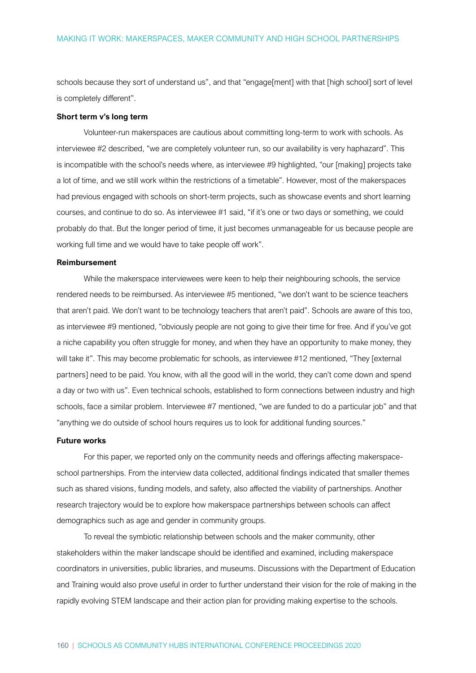schools because they sort of understand us", and that "engage[ment] with that [high school] sort of level is completely different".

### Short term v's long term

Volunteer-run makerspaces are cautious about committing long-term to work with schools. As interviewee #2 described, "we are completely volunteer run, so our availability is very haphazard". This is incompatible with the school's needs where, as interviewee #9 highlighted, "our [making] projects take a lot of time, and we still work within the restrictions of a timetable". However, most of the makerspaces had previous engaged with schools on short-term projects, such as showcase events and short learning courses, and continue to do so. As interviewee #1 said, "if it's one or two days or something, we could probably do that. But the longer period of time, it just becomes unmanageable for us because people are working full time and we would have to take people off work".

### Reimbursement

While the makerspace interviewees were keen to help their neighbouring schools, the service rendered needs to be reimbursed. As interviewee #5 mentioned, "we don't want to be science teachers that aren't paid. We don't want to be technology teachers that aren't paid". Schools are aware of this too, as interviewee #9 mentioned, "obviously people are not going to give their time for free. And if you've got a niche capability you often struggle for money, and when they have an opportunity to make money, they will take it". This may become problematic for schools, as interviewee #12 mentioned, "They [external partners] need to be paid. You know, with all the good will in the world, they can't come down and spend a day or two with us". Even technical schools, established to form connections between industry and high schools, face a similar problem. Interviewee #7 mentioned, "we are funded to do a particular job" and that "anything we do outside of school hours requires us to look for additional funding sources."

### Future works

For this paper, we reported only on the community needs and offerings affecting makerspaceschool partnerships. From the interview data collected, additional findings indicated that smaller themes such as shared visions, funding models, and safety, also affected the viability of partnerships. Another research trajectory would be to explore how makerspace partnerships between schools can affect demographics such as age and gender in community groups.

To reveal the symbiotic relationship between schools and the maker community, other stakeholders within the maker landscape should be identified and examined, including makerspace coordinators in universities, public libraries, and museums. Discussions with the Department of Education and Training would also prove useful in order to further understand their vision for the role of making in the rapidly evolving STEM landscape and their action plan for providing making expertise to the schools.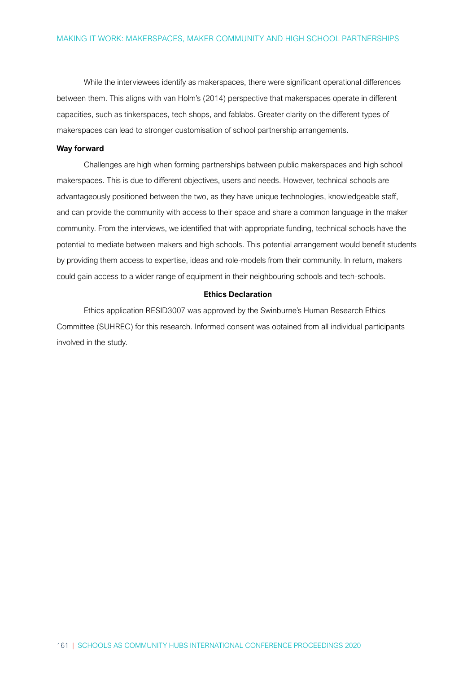While the interviewees identify as makerspaces, there were significant operational differences between them. This aligns with van Holm's (2014) perspective that makerspaces operate in different capacities, such as tinkerspaces, tech shops, and fablabs. Greater clarity on the different types of makerspaces can lead to stronger customisation of school partnership arrangements.

### Way forward

Challenges are high when forming partnerships between public makerspaces and high school makerspaces. This is due to different objectives, users and needs. However, technical schools are advantageously positioned between the two, as they have unique technologies, knowledgeable staff, and can provide the community with access to their space and share a common language in the maker community. From the interviews, we identified that with appropriate funding, technical schools have the potential to mediate between makers and high schools. This potential arrangement would benefit students by providing them access to expertise, ideas and role-models from their community. In return, makers could gain access to a wider range of equipment in their neighbouring schools and tech-schools.

### Ethics Declaration

Ethics application RESID3007 was approved by the Swinburne's Human Research Ethics Committee (SUHREC) for this research. Informed consent was obtained from all individual participants involved in the study.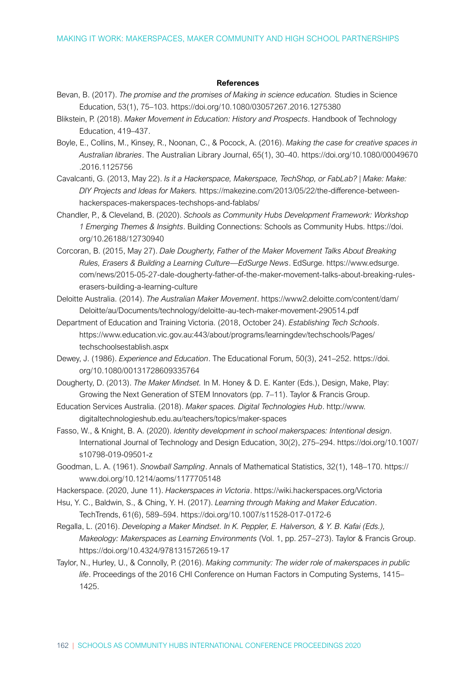### References

- Bevan, B. (2017). The promise and the promises of Making in science education. Studies in Science Education, 53(1), 75–103. https://doi.org/10.1080/03057267.2016.1275380
- Blikstein, P. (2018). Maker Movement in Education: History and Prospects. Handbook of Technology Education, 419–437.
- Boyle, E., Collins, M., Kinsey, R., Noonan, C., & Pocock, A. (2016). Making the case for creative spaces in Australian libraries. The Australian Library Journal, 65(1), 30–40. https://doi.org/10.1080/00049670 .2016.1125756
- Cavalcanti, G. (2013, May 22). Is it a Hackerspace, Makerspace, TechShop, or FabLab? | Make: Make: DIY Projects and Ideas for Makers. https://makezine.com/2013/05/22/the-difference-betweenhackerspaces-makerspaces-techshops-and-fablabs/
- Chandler, P., & Cleveland, B. (2020). Schools as Community Hubs Development Framework: Workshop 1 Emerging Themes & Insights. Building Connections: Schools as Community Hubs. https://doi. org/10.26188/12730940
- Corcoran, B. (2015, May 27). Dale Dougherty, Father of the Maker Movement Talks About Breaking Rules, Erasers & Building a Learning Culture—EdSurge News. EdSurge. https://www.edsurge. com/news/2015-05-27-dale-dougherty-father-of-the-maker-movement-talks-about-breaking-ruleserasers-building-a-learning-culture
- Deloitte Australia. (2014). The Australian Maker Movement. https://www2.deloitte.com/content/dam/ Deloitte/au/Documents/technology/deloitte-au-tech-maker-movement-290514.pdf
- Department of Education and Training Victoria. (2018, October 24). Establishing Tech Schools. https://www.education.vic.gov.au:443/about/programs/learningdev/techschools/Pages/ techschoolsestablish.aspx
- Dewey, J. (1986). Experience and Education. The Educational Forum, 50(3), 241–252. https://doi. org/10.1080/00131728609335764
- Dougherty, D. (2013). The Maker Mindset. In M. Honey & D. E. Kanter (Eds.). Design. Make. Play: Growing the Next Generation of STEM Innovators (pp. 7–11). Taylor & Francis Group.
- Education Services Australia. (2018). Maker spaces. Digital Technologies Hub. http://www. digitaltechnologieshub.edu.au/teachers/topics/maker-spaces
- Fasso, W., & Knight, B. A. (2020). Identity development in school makerspaces: Intentional design. International Journal of Technology and Design Education, 30(2), 275–294. https://doi.org/10.1007/ s10798-019-09501-z
- Goodman, L. A. (1961). Snowball Sampling. Annals of Mathematical Statistics, 32(1), 148–170. https:// www.doi.org/10.1214/aoms/1177705148
- Hackerspace. (2020, June 11). Hackerspaces in Victoria. https://wiki.hackerspaces.org/Victoria
- Hsu, Y. C., Baldwin, S., & Ching, Y. H. (2017). Learning through Making and Maker Education. TechTrends, 61(6), 589–594. https://doi.org/10.1007/s11528-017-0172-6
- Regalla, L. (2016). Developing a Maker Mindset. In K. Peppler, E. Halverson, & Y. B. Kafai (Eds.), Makeology: Makerspaces as Learning Environments (Vol. 1, pp. 257–273). Taylor & Francis Group. https://doi.org/10.4324/9781315726519-17
- Taylor, N., Hurley, U., & Connolly, P. (2016). Making community: The wider role of makerspaces in public life. Proceedings of the 2016 CHI Conference on Human Factors in Computing Systems, 1415– 1425.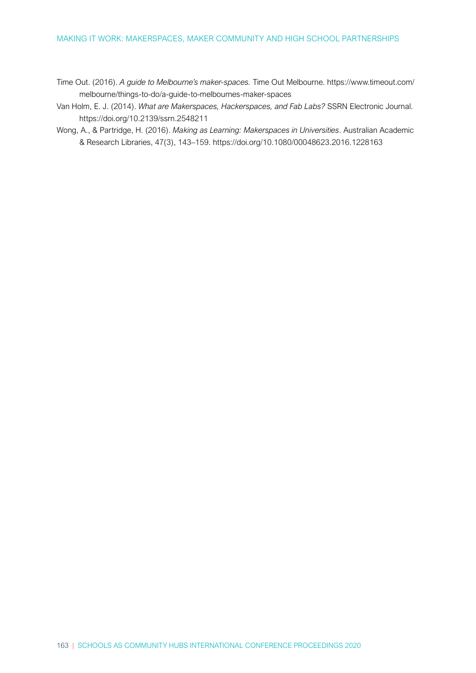Time Out. (2016). A guide to Melbourne's maker-spaces. Time Out Melbourne. https://www.timeout.com/ melbourne/things-to-do/a-guide-to-melbournes-maker-spaces

- Van Holm, E. J. (2014). What are Makerspaces, Hackerspaces, and Fab Labs? SSRN Electronic Journal. https://doi.org/10.2139/ssrn.2548211
- Wong, A., & Partridge, H. (2016). Making as Learning: Makerspaces in Universities. Australian Academic & Research Libraries, 47(3), 143–159. https://doi.org/10.1080/00048623.2016.1228163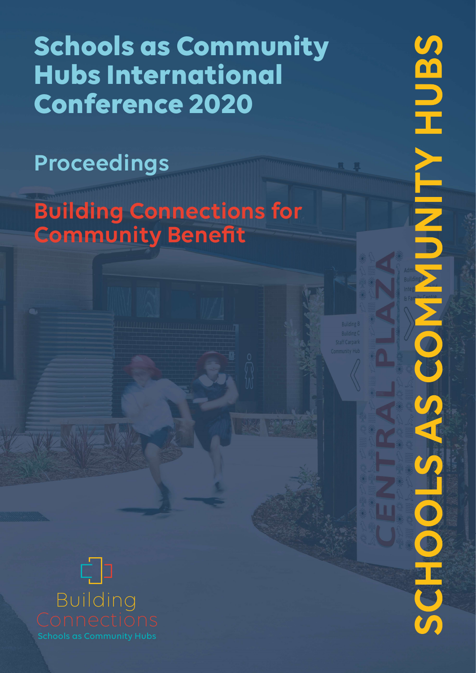# Schools as Community Hubs International Conference 2020

**SENH AINA** 

COOS

# Proceedings

Building Connections for **Community Benefit** 

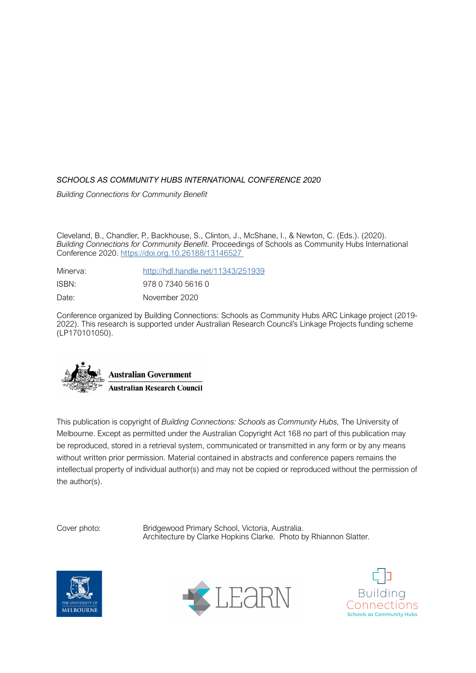### SCHOOLS AS COMMUNITY HUBS INTERNATIONAL CONFERENCE 2020

Building Connections for Community Benefit

Cleveland, B., Chandler, P., Backhouse, S., Clinton, J., McShane, I., & Newton, C. (Eds.). (2020). Building Connections for Community Benefit. Proceedings of Schools as Community Hubs International Conference 2020. https://doi.org.10.26188/13146527

| Minerva: | http://hdl.handle.net/11343/251939 |
|----------|------------------------------------|
| ISBN:    | 978 0 7340 5616 0                  |
| Date:    | November 2020                      |

Conference organized by Building Connections: Schools as Community Hubs ARC Linkage project (2019- 2022). This research is supported under Australian Research Council's Linkage Projects funding scheme (LP170101050).



This publication is copyright of Building Connections: Schools as Community Hubs, The University of Melbourne. Except as permitted under the Australian Copyright Act 168 no part of this publication may be reproduced, stored in a retrieval system, communicated or transmitted in any form or by any means without written prior permission. Material contained in abstracts and conference papers remains the intellectual property of individual author(s) and may not be copied or reproduced without the permission of the author(s).

Cover photo: Bridgewood Primary School, Victoria, Australia. Architecture by Clarke Hopkins Clarke. Photo by Rhiannon Slatter.





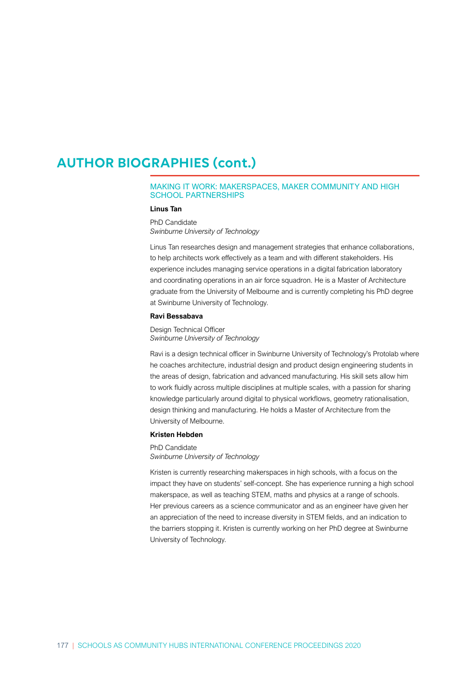# AUTHOR BIOGRAPHIES (cont.)

### MAKING IT WORK: MAKERSPACES, MAKER COMMUNITY AND HIGH SCHOOL PARTNERSHIPS

### Linus Tan

PhD Candidate Swinburne University of Technology

Linus Tan researches design and management strategies that enhance collaborations, to help architects work effectively as a team and with different stakeholders. His experience includes managing service operations in a digital fabrication laboratory and coordinating operations in an air force squadron. He is a Master of Architecture graduate from the University of Melbourne and is currently completing his PhD degree at Swinburne University of Technology.

### Ravi Bessabava

Design Technical Officer Swinburne University of Technology

Ravi is a design technical officer in Swinburne University of Technology's Protolab where he coaches architecture, industrial design and product design engineering students in the areas of design, fabrication and advanced manufacturing. His skill sets allow him to work fluidly across multiple disciplines at multiple scales, with a passion for sharing knowledge particularly around digital to physical workflows, geometry rationalisation, design thinking and manufacturing. He holds a Master of Architecture from the University of Melbourne.

### Kristen Hebden

PhD Candidate Swinburne University of Technology

Kristen is currently researching makerspaces in high schools, with a focus on the impact they have on students' self-concept. She has experience running a high school makerspace, as well as teaching STEM, maths and physics at a range of schools. Her previous careers as a science communicator and as an engineer have given her an appreciation of the need to increase diversity in STEM fields, and an indication to the barriers stopping it. Kristen is currently working on her PhD degree at Swinburne University of Technology.